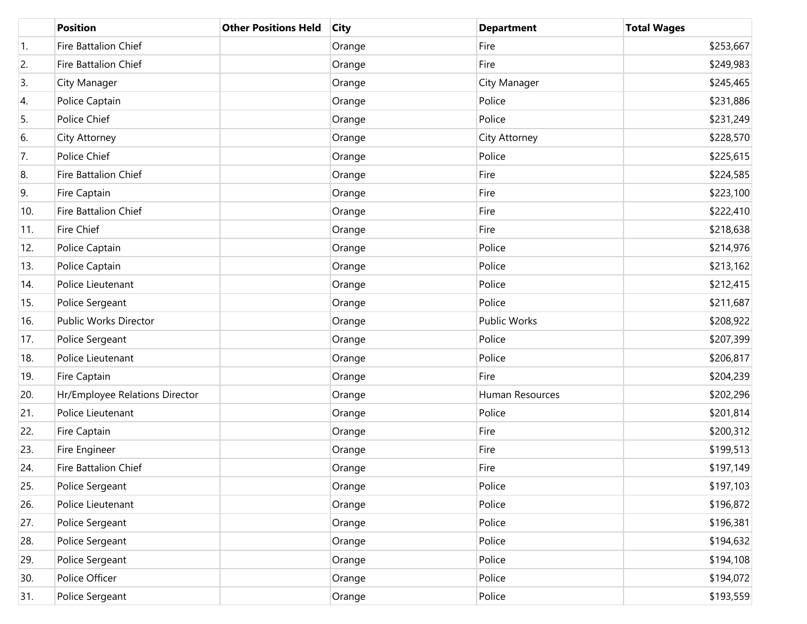|     | <b>Position</b>                | <b>Other Positions Held</b> | <b>City</b> | <b>Department</b> | <b>Total Wages</b> |
|-----|--------------------------------|-----------------------------|-------------|-------------------|--------------------|
| 1.  | Fire Battalion Chief           |                             | Orange      | Fire              | \$253,667          |
| 2.  | Fire Battalion Chief           |                             | Orange      | Fire              | \$249,983          |
| 3.  | City Manager                   |                             | Orange      | City Manager      | \$245,465          |
| 4.  | Police Captain                 |                             | Orange      | Police            | \$231,886          |
| 5.  | Police Chief                   |                             | Orange      | Police            | \$231,249          |
| 6.  | City Attorney                  |                             | Orange      | City Attorney     | \$228,570          |
| 7.  | Police Chief                   |                             | Orange      | Police            | \$225,615          |
| 8.  | Fire Battalion Chief           |                             | Orange      | Fire              | \$224,585          |
| 9.  | Fire Captain                   |                             | Orange      | Fire              | \$223,100          |
| 10. | Fire Battalion Chief           |                             | Orange      | Fire              | \$222,410          |
| 11. | <b>Fire Chief</b>              |                             | Orange      | Fire              | \$218,638          |
| 12. | Police Captain                 |                             | Orange      | Police            | \$214,976          |
| 13. | Police Captain                 |                             | Orange      | Police            | \$213,162          |
| 14. | Police Lieutenant              |                             | Orange      | Police            | \$212,415          |
| 15. | Police Sergeant                |                             | Orange      | Police            | \$211,687          |
| 16. | Public Works Director          |                             | Orange      | Public Works      | \$208,922          |
| 17. | Police Sergeant                |                             | Orange      | Police            | \$207,399          |
| 18. | Police Lieutenant              |                             | Orange      | Police            | \$206,817          |
| 19. | Fire Captain                   |                             | Orange      | Fire              | \$204,239          |
| 20. | Hr/Employee Relations Director |                             | Orange      | Human Resources   | \$202,296          |
| 21. | Police Lieutenant              |                             | Orange      | Police            | \$201,814          |
| 22. | Fire Captain                   |                             | Orange      | Fire              | \$200,312          |
| 23. | Fire Engineer                  |                             | Orange      | Fire              | \$199,513          |
| 24. | Fire Battalion Chief           |                             | Orange      | Fire              | \$197,149          |
| 25. | Police Sergeant                |                             | Orange      | Police            | \$197,103          |
| 26. | Police Lieutenant              |                             | Orange      | Police            | \$196,872          |
| 27. | Police Sergeant                |                             | Orange      | Police            | \$196,381          |
| 28. | Police Sergeant                |                             | Orange      | Police            | \$194,632          |
| 29. | Police Sergeant                |                             | Orange      | Police            | \$194,108          |
| 30. | Police Officer                 |                             | Orange      | Police            | \$194,072          |
| 31. | Police Sergeant                |                             | Orange      | Police            | \$193,559          |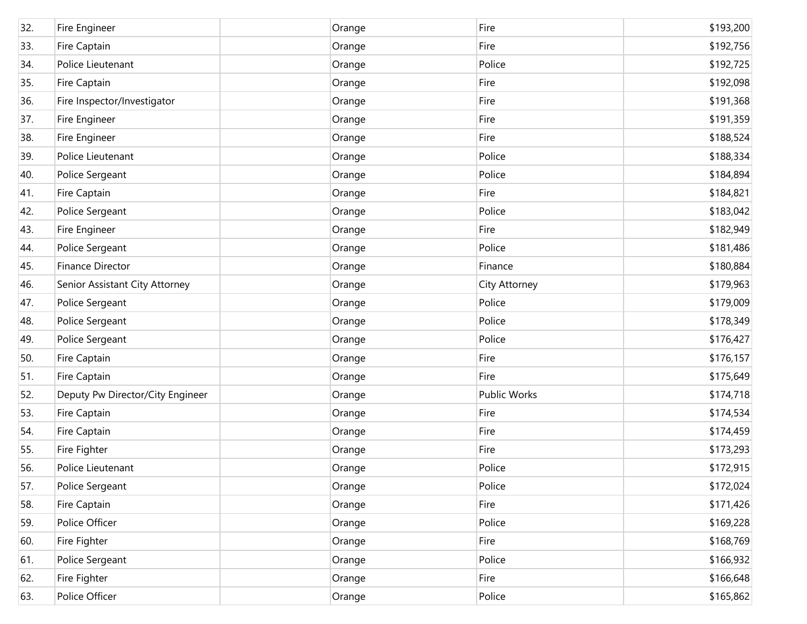| 32. | Fire Engineer                    | Orange | Fire          | \$193,200 |
|-----|----------------------------------|--------|---------------|-----------|
| 33. | Fire Captain                     | Orange | Fire          | \$192,756 |
| 34. | Police Lieutenant                | Orange | Police        | \$192,725 |
| 35. | Fire Captain                     | Orange | Fire          | \$192,098 |
| 36. | Fire Inspector/Investigator      | Orange | Fire          | \$191,368 |
| 37. | Fire Engineer                    | Orange | Fire          | \$191,359 |
| 38. | Fire Engineer                    | Orange | Fire          | \$188,524 |
| 39. | Police Lieutenant                | Orange | Police        | \$188,334 |
| 40. | Police Sergeant                  | Orange | Police        | \$184,894 |
| 41. | Fire Captain                     | Orange | Fire          | \$184,821 |
| 42. | Police Sergeant                  | Orange | Police        | \$183,042 |
| 43. | Fire Engineer                    | Orange | Fire          | \$182,949 |
| 44. | Police Sergeant                  | Orange | Police        | \$181,486 |
| 45. | Finance Director                 | Orange | Finance       | \$180,884 |
| 46. | Senior Assistant City Attorney   | Orange | City Attorney | \$179,963 |
| 47. | Police Sergeant                  | Orange | Police        | \$179,009 |
| 48. | Police Sergeant                  | Orange | Police        | \$178,349 |
| 49. | Police Sergeant                  | Orange | Police        | \$176,427 |
| 50. | Fire Captain                     | Orange | Fire          | \$176,157 |
| 51. | Fire Captain                     | Orange | Fire          | \$175,649 |
| 52. | Deputy Pw Director/City Engineer | Orange | Public Works  | \$174,718 |
| 53. | Fire Captain                     | Orange | Fire          | \$174,534 |
| 54. | Fire Captain                     | Orange | Fire          | \$174,459 |
| 55. | Fire Fighter                     | Orange | Fire          | \$173,293 |
| 56. | Police Lieutenant                | Orange | Police        | \$172,915 |
| 57. | Police Sergeant                  | Orange | Police        | \$172,024 |
| 58. | Fire Captain                     | Orange | Fire          | \$171,426 |
| 59. | Police Officer                   | Orange | Police        | \$169,228 |
| 60. | Fire Fighter                     | Orange | Fire          | \$168,769 |
| 61. | Police Sergeant                  | Orange | Police        | \$166,932 |
| 62. | Fire Fighter                     | Orange | Fire          | \$166,648 |
| 63. | Police Officer                   | Orange | Police        | \$165,862 |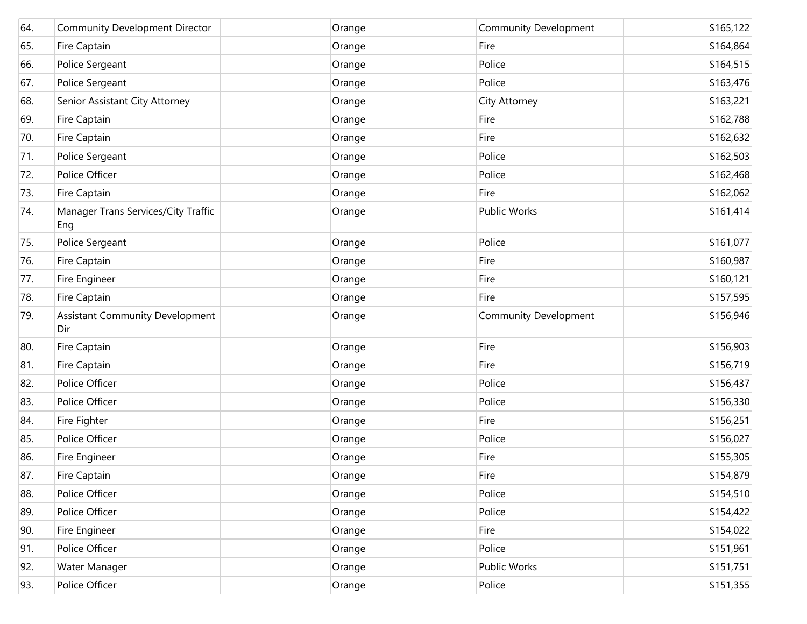| 64. | Community Development Director                | Orange | Community Development        | \$165,122 |
|-----|-----------------------------------------------|--------|------------------------------|-----------|
| 65. | Fire Captain                                  | Orange | Fire                         | \$164,864 |
| 66. | Police Sergeant                               | Orange | Police                       | \$164,515 |
| 67. | Police Sergeant                               | Orange | Police                       | \$163,476 |
| 68. | Senior Assistant City Attorney                | Orange | City Attorney                | \$163,221 |
| 69. | Fire Captain                                  | Orange | Fire                         | \$162,788 |
| 70. | Fire Captain                                  | Orange | Fire                         | \$162,632 |
| 71. | Police Sergeant                               | Orange | Police                       | \$162,503 |
| 72. | Police Officer                                | Orange | Police                       | \$162,468 |
| 73. | Fire Captain                                  | Orange | Fire                         | \$162,062 |
| 74. | Manager Trans Services/City Traffic<br>Eng    | Orange | Public Works                 | \$161,414 |
| 75. | Police Sergeant                               | Orange | Police                       | \$161,077 |
| 76. | Fire Captain                                  | Orange | Fire                         | \$160,987 |
| 77. | Fire Engineer                                 | Orange | Fire                         | \$160,121 |
| 78. | Fire Captain                                  | Orange | Fire                         | \$157,595 |
| 79. | <b>Assistant Community Development</b><br>Dir | Orange | <b>Community Development</b> | \$156,946 |
| 80. | Fire Captain                                  | Orange | Fire                         | \$156,903 |
| 81. | Fire Captain                                  | Orange | Fire                         | \$156,719 |
| 82. | Police Officer                                | Orange | Police                       | \$156,437 |
| 83. | Police Officer                                | Orange | Police                       | \$156,330 |
| 84. | Fire Fighter                                  | Orange | Fire                         | \$156,251 |
| 85. | Police Officer                                | Orange | Police                       | \$156,027 |
| 86. | Fire Engineer                                 | Orange | Fire                         | \$155,305 |
| 87. | Fire Captain                                  | Orange | Fire                         | \$154,879 |
| 88. | Police Officer                                | Orange | Police                       | \$154,510 |
| 89. | Police Officer                                | Orange | Police                       | \$154,422 |
| 90. | Fire Engineer                                 | Orange | Fire                         | \$154,022 |
| 91. | Police Officer                                | Orange | Police                       | \$151,961 |
| 92. | Water Manager                                 | Orange | Public Works                 | \$151,751 |
| 93. | Police Officer                                | Orange | Police                       | \$151,355 |